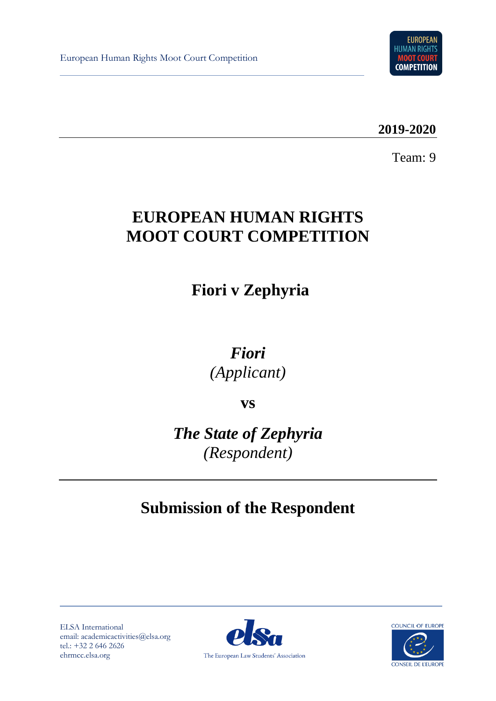

**2019-2020**

Team: 9

# **EUROPEAN HUMAN RIGHTS MOOT COURT COMPETITION**

# **Fiori v Zephyria**

*Fiori (Applicant)*

**vs**

*The State of Zephyria (Respondent)*

# **Submission of the Respondent**

ELSA International email: academicactivities@elsa.org tel.: +32 2 646 2626 ehrmcc.elsa.org



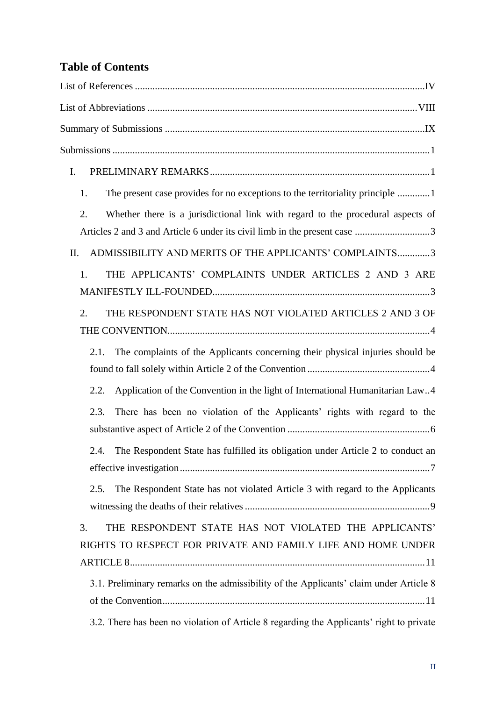# **Table of Contents**

| I.                                                                                                                          |
|-----------------------------------------------------------------------------------------------------------------------------|
| The present case provides for no exceptions to the territoriality principle 1<br>1.                                         |
| Whether there is a jurisdictional link with regard to the procedural aspects of<br>2.                                       |
| ADMISSIBILITY AND MERITS OF THE APPLICANTS' COMPLAINTS3<br>II.                                                              |
| THE APPLICANTS' COMPLAINTS UNDER ARTICLES 2 AND 3 ARE<br>1.                                                                 |
| 2.<br>THE RESPONDENT STATE HAS NOT VIOLATED ARTICLES 2 AND 3 OF                                                             |
| The complaints of the Applicants concerning their physical injuries should be<br>2.1.                                       |
| Application of the Convention in the light of International Humanitarian Law4<br>2.2.                                       |
| There has been no violation of the Applicants' rights with regard to the<br>2.3.                                            |
| The Respondent State has fulfilled its obligation under Article 2 to conduct an<br>2.4.                                     |
| The Respondent State has not violated Article 3 with regard to the Applicants<br>2.5.                                       |
| THE RESPONDENT STATE HAS NOT VIOLATED THE APPLICANTS'<br>3.<br>RIGHTS TO RESPECT FOR PRIVATE AND FAMILY LIFE AND HOME UNDER |
| 3.1. Preliminary remarks on the admissibility of the Applicants' claim under Article 8                                      |
| 3.2. There has been no violation of Article 8 regarding the Applicants' right to private                                    |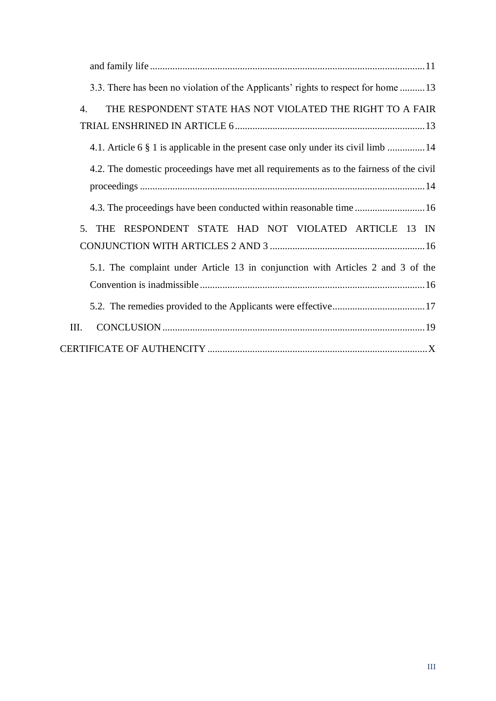| 3.3. There has been no violation of the Applicants' rights to respect for home 13       |
|-----------------------------------------------------------------------------------------|
| THE RESPONDENT STATE HAS NOT VIOLATED THE RIGHT TO A FAIR<br>$\overline{4}$ .           |
| 4.1. Article 6 § 1 is applicable in the present case only under its civil limb  14      |
| 4.2. The domestic proceedings have met all requirements as to the fairness of the civil |
|                                                                                         |
| RESPONDENT STATE HAD NOT VIOLATED ARTICLE 13 IN<br>5.<br><b>THE</b>                     |
| 5.1. The complaint under Article 13 in conjunction with Articles 2 and 3 of the         |
|                                                                                         |
| III.                                                                                    |
|                                                                                         |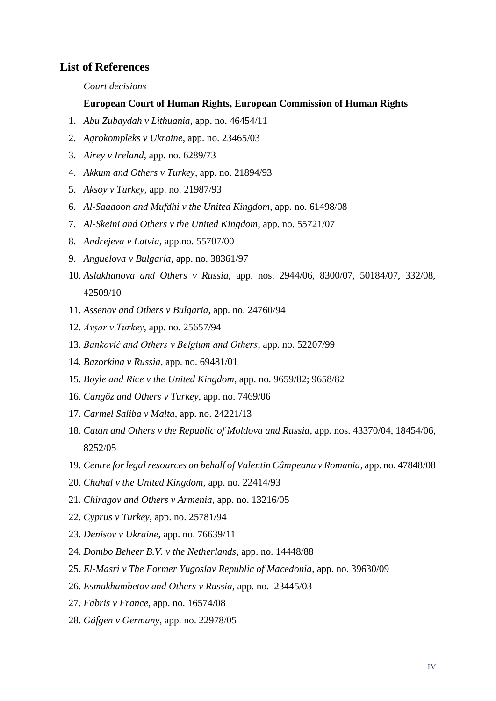#### <span id="page-3-0"></span>**List of References**

*Court decisions*

#### **European Court of Human Rights, European Commission of Human Rights**

- 1. *Abu Zubaydah v Lithuania*, app. no. 46454/11
- 2. *Agrokompleks v Ukraine*, app. no. 23465/03
- 3. *Airey v Ireland*, app. no. 6289/73
- 4. *Akkum and Others v Turkey*, app. no. 21894/93
- 5. *Aksoy v Turkey*, app. no. 21987/93
- 6. *Al-Saadoon and Mufdhi v the United Kingdom*, app. no. 61498/08
- 7. *Al-Skeini and Others v the United Kingdom*, app. no. 55721/07
- 8. *Andrejeva v Latvia*, app.no. 55707/00
- 9. *Anguelova v Bulgaria*, app. no. 38361/97
- 10. *Aslakhanova and Others v Russia,* app. nos. 2944/06, 8300/07, 50184/07, 332/08, 42509/10
- 11. *Assenov and Others v Bulgaria*, app. no. 24760/94
- 12. *Avșar v Turkey*, app. no. 25657/94
- 13. *Banković and Others v Belgium and Others*, app. no. 52207/99
- 14. *Bazorkina v Russia*, app. no. 69481/01
- 15. *Boyle and Rice v the United Kingdom*, app. no. 9659/82; 9658/82
- 16. *Cangöz and Others v Turkey*, app. no. 7469/06
- 17. *Carmel Saliba v Malta*, app. no. 24221/13
- 18. *Catan and Others v the Republic of Moldova and Russia*, app. nos. 43370/04, 18454/06, 8252/05
- 19. *Centre for legal resources on behalf of Valentin Câmpeanu v Romania*, app. no. 47848/08
- 20. *Chahal v the United Kingdom*, app. no. 22414/93
- 21. *Chiragov and Others v Armenia*, app. no. 13216/05
- 22. *Cyprus v Turkey*, app. no. 25781/94
- 23. *Denisov v Ukraine*, app. no. 76639/11
- 24. *Dombo Beheer B.V. v the Netherlands,* app. no. 14448/88
- 25. *El-Masri v The Former Yugoslav Republic of Macedonia*, app. no. 39630/09
- 26. *Esmukhambetov and Others v Russia*, app. no. 23445/03
- 27. *Fabris v France*, app. no. 16574/08
- 28. *Gäfgen v Germany*, app. no. 22978/05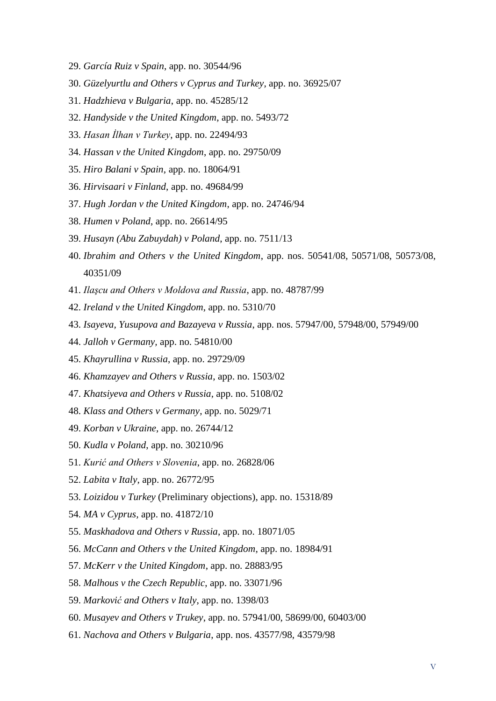- 29. *García Ruiz v Spain*, app. no. 30544/96
- 30. *Güzelyurtlu and Others v Cyprus and Turkey*, app. no. 36925/07
- 31. *Hadzhieva v Bulgaria*, app. no. 45285/12
- 32. *Handyside v the United Kingdom*, app. no. 5493/72
- 33. *Hasan İlhan v Turkey*, app. no. 22494/93
- 34. *Hassan v the United Kingdom*, app. no. 29750/09
- 35. *Hiro Balani v Spain*, app. no. 18064/91
- 36. *Hirvisaari v Finland*, app. no. 49684/99
- 37. *Hugh Jordan v the United Kingdom*, app. no. 24746/94
- 38. *Humen v Poland*, app. no. 26614/95
- 39. *Husayn (Abu Zabuydah) v Poland*, app. no. 7511/13
- 40. *Ibrahim and Others v the United Kingdom*, app. nos. 50541/08, 50571/08, 50573/08, 40351/09
- 41. *Ilaşcu and Others v Moldova and Russia*, app. no. 48787/99
- 42. *Ireland v the United Kingdom*, app. no. 5310/70
- 43. *Isayeva, Yusupova and Bazayeva v Russia*, app. nos. 57947/00, 57948/00, 57949/00
- 44. *Jalloh v Germany,* app. no. 54810/00
- 45. *Khayrullina v Russia*, app. no. 29729/09
- 46. *Khamzayev and Others v Russia*, app. no. 1503/02
- 47. *Khatsiyeva and Others v Russia*, app. no. 5108/02
- 48. *Klass and Others v Germany*, app. no. 5029/71
- 49. *Korban v Ukraine*, app. no. 26744/12
- 50. *Kudla v Poland*, app. no. 30210/96
- 51. *Kurić and Others v Slovenia*, app. no. 26828/06
- 52. *Labita v Italy*, app. no. 26772/95
- 53. *Loizidou v Turkey* (Preliminary objections), app. no. 15318/89
- 54. *MA v Cyprus,* app. no. 41872/10
- 55. *Maskhadova and Others v Russia*, app. no. 18071/05
- 56. *McCann and Others v the United Kingdom*, app. no. 18984/91
- 57. *McKerr v the United Kingdom*, app. no. 28883/95
- 58. *Malhous v the Czech Republic*, app. no. 33071/96
- 59. *Marković and Others v Italy*, app. no. 1398/03
- 60. *Musayev and Others v Trukey*, app. no. 57941/00, 58699/00, 60403/00
- 61. *Nachova and Others v Bulgaria*, app. nos. 43577/98, 43579/98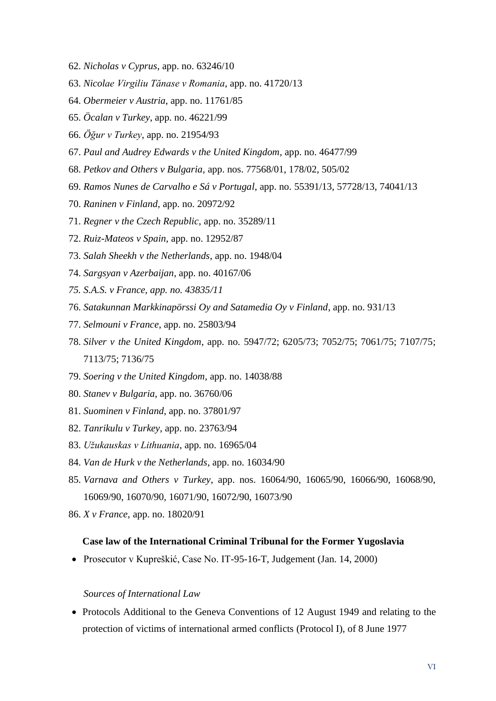- 62. *Nicholas v Cyprus*, app. no. 63246/10
- 63. *Nicolae Virgiliu Tănase v Romania*, app. no. 41720/13
- 64. *Obermeier v Austria*, app. no. 11761/85
- 65. *Öcalan v Turkey*, app. no. 46221/99
- 66. *Öğur v Turkey*, app. no. 21954/93
- 67. *Paul and Audrey Edwards v the United Kingdom*, app. no. 46477/99
- 68. *Petkov and Others v Bulgaria*, app. nos. 77568/01, 178/02, 505/02
- 69. *Ramos Nunes de Carvalho e Sá v Portugal*, app. no. 55391/13, 57728/13, 74041/13
- 70. *Raninen v Finland*, app. no. 20972/92
- 71. *Regner v the Czech Republic*, app. no. 35289/11
- 72. *Ruiz-Mateos v Spain*, app. no. 12952/87
- 73. *Salah Sheekh v the Netherlands*, app. no. 1948/04
- 74. *Sargsyan v Azerbaijan*, app. no. 40167/06
- *75. S.A.S. v France, app. no. 43835/11*
- 76. *Satakunnan Markkinapörssi Oy and Satamedia Oy v Finland*, app. no. 931/13
- 77. *Selmouni v France*, app. no. 25803/94
- 78. *Silver v the United Kingdom*, app. no. 5947/72; 6205/73; 7052/75; 7061/75; 7107/75; 7113/75; 7136/75
- 79. *Soering v the United Kingdom*, app. no. 14038/88
- 80. *Stanev v Bulgaria*, app. no. 36760/06
- 81. *Suominen v Finland*, app. no. 37801/97
- 82. *Tanrikulu v Turkey*, app. no. 23763/94
- 83. *Užukauskas v Lithuania*, app. no. 16965/04
- 84. *Van de Hurk v the Netherlands*, app. no. 16034/90
- 85. *Varnava and Others v Turkey*, app. nos. 16064/90, 16065/90, 16066/90, 16068/90, 16069/90, 16070/90, 16071/90, 16072/90, 16073/90
- 86. *X v France*, app. no. 18020/91

#### **Case law of the International Criminal Tribunal for the Former Yugoslavia**

• Prosecutor v Kupreškić, Case No. IT-95-16-T, Judgement (Jan. 14, 2000)

#### *Sources of International Law*

• Protocols Additional to the Geneva Conventions of 12 August 1949 and relating to the protection of victims of international armed conflicts (Protocol I), of 8 June 1977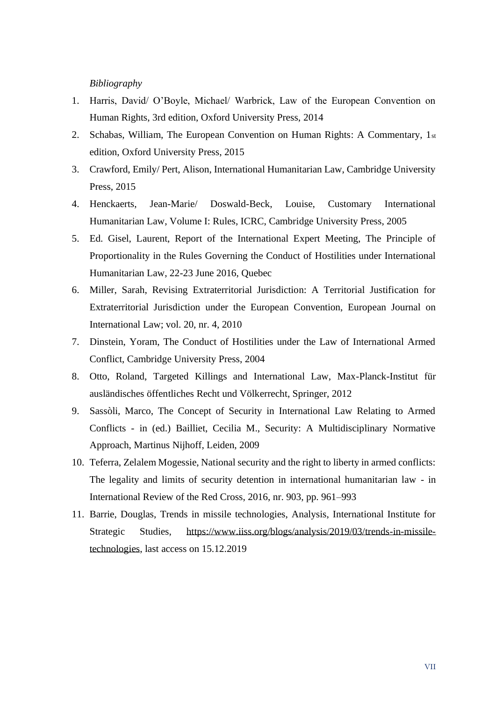#### *Bibliography*

- 1. Harris, David/ O'Boyle, Michael/ Warbrick, Law of the European Convention on Human Rights, 3rd edition, Oxford University Press, 2014
- 2. Schabas, William, The European Convention on Human Rights: A Commentary, 1st edition, Oxford University Press, 2015
- 3. Crawford, Emily/ Pert, Alison, International Humanitarian Law, Cambridge University Press, 2015
- 4. Henckaerts, Jean-Marie/ Doswald-Beck, Louise, Customary International Humanitarian Law, Volume I: Rules, ICRC, Cambridge University Press, 2005
- 5. Ed. Gisel, Laurent, Report of the International Expert Meeting, The Principle of Proportionality in the Rules Governing the Conduct of Hostilities under International Humanitarian Law, 22-23 June 2016, Quebec
- 6. Miller, Sarah, Revising Extraterritorial Jurisdiction: A Territorial Justification for Extraterritorial Jurisdiction under the European Convention, European Journal on International Law; vol. 20, nr. 4, 2010
- 7. Dinstein, Yoram, The Conduct of Hostilities under the Law of International Armed Conflict, Cambridge University Press, 2004
- 8. Otto, Roland, Targeted Killings and International Law, Max-Planck-Institut für ausländisches öffentliches Recht und Völkerrecht, Springer, 2012
- 9. Sassòli, Marco, The Concept of Security in International Law Relating to Armed Conflicts - in (ed.) Bailliet, Cecilia M., Security: A Multidisciplinary Normative Approach, Martinus Nijhoff, Leiden, 2009
- 10. Teferra, Zelalem Mogessie, National security and the right to liberty in armed conflicts: The legality and limits of security detention in international humanitarian law - in International Review of the Red Cross, 2016, nr. 903, pp. 961–993
- 11. Barrie, Douglas, Trends in missile technologies, Analysis, International Institute for Strategic Studies, [https://www.iiss.org/blogs/analysis/2019/03/trends-in-missile](https://www.iiss.org/blogs/analysis/2019/03/trends-in-missile-technologies)[technologies,](https://www.iiss.org/blogs/analysis/2019/03/trends-in-missile-technologies) last access on 15.12.2019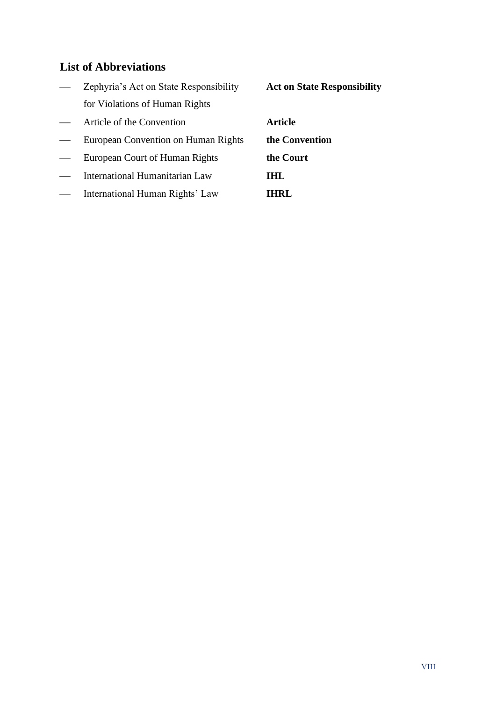# <span id="page-7-0"></span>**List of Abbreviations**

|                   | Zephyria's Act on State Responsibility | <b>Act on State Responsibility</b> |
|-------------------|----------------------------------------|------------------------------------|
|                   | for Violations of Human Rights         |                                    |
|                   | Article of the Convention              | <b>Article</b>                     |
|                   | European Convention on Human Rights    | the Convention                     |
| $\hspace{0.05cm}$ | European Court of Human Rights         | the Court                          |
|                   | International Humanitarian Law         | THT.                               |
|                   | International Human Rights' Law        | THRT.                              |
|                   |                                        |                                    |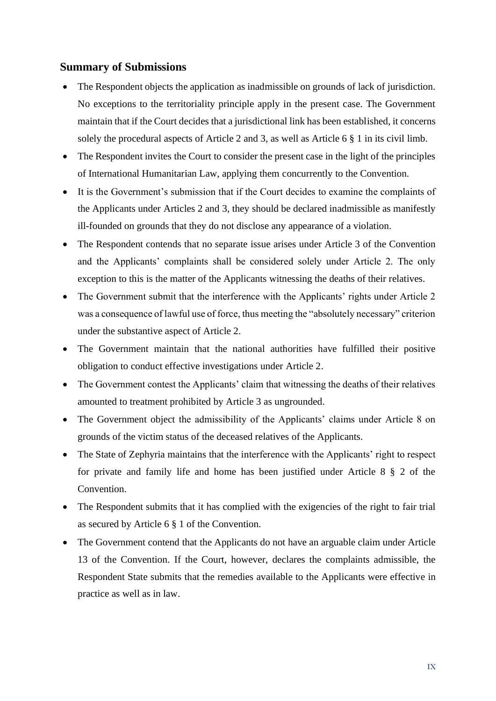#### <span id="page-8-0"></span>**Summary of Submissions**

- The Respondent objects the application as inadmissible on grounds of lack of jurisdiction. No exceptions to the territoriality principle apply in the present case. The Government maintain that if the Court decides that a jurisdictional link has been established, it concerns solely the procedural aspects of Article 2 and 3, as well as Article 6 § 1 in its civil limb.
- The Respondent invites the Court to consider the present case in the light of the principles of International Humanitarian Law, applying them concurrently to the Convention.
- It is the Government's submission that if the Court decides to examine the complaints of the Applicants under Articles 2 and 3, they should be declared inadmissible as manifestly ill-founded on grounds that they do not disclose any appearance of a violation.
- The Respondent contends that no separate issue arises under Article 3 of the Convention and the Applicants' complaints shall be considered solely under Article 2. The only exception to this is the matter of the Applicants witnessing the deaths of their relatives.
- The Government submit that the interference with the Applicants' rights under Article 2 was a consequence of lawful use of force, thus meeting the "absolutely necessary" criterion under the substantive aspect of Article 2.
- The Government maintain that the national authorities have fulfilled their positive obligation to conduct effective investigations under Article 2.
- The Government contest the Applicants' claim that witnessing the deaths of their relatives amounted to treatment prohibited by Article 3 as ungrounded.
- The Government object the admissibility of the Applicants' claims under Article 8 on grounds of the victim status of the deceased relatives of the Applicants.
- The State of Zephyria maintains that the interference with the Applicants' right to respect for private and family life and home has been justified under Article 8 § 2 of the Convention.
- The Respondent submits that it has complied with the exigencies of the right to fair trial as secured by Article 6 § 1 of the Convention.
- The Government contend that the Applicants do not have an arguable claim under Article 13 of the Convention. If the Court, however, declares the complaints admissible, the Respondent State submits that the remedies available to the Applicants were effective in practice as well as in law.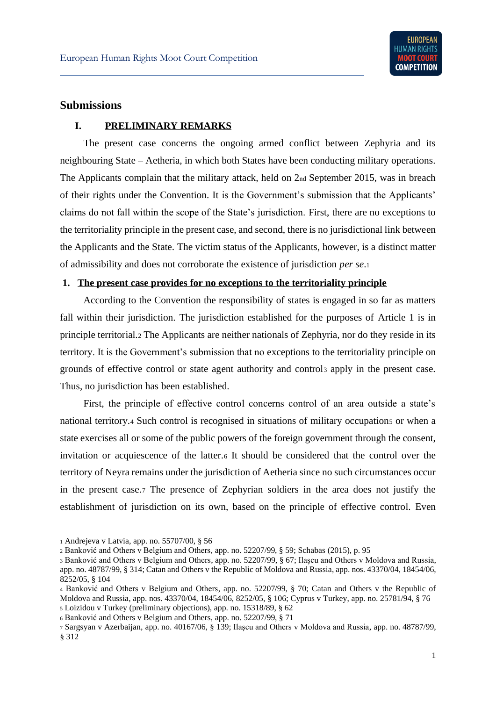#### <span id="page-9-0"></span>**Submissions**

#### <span id="page-9-1"></span>**I. PRELIMINARY REMARKS**

The present case concerns the ongoing armed conflict between Zephyria and its neighbouring State – Aetheria, in which both States have been conducting military operations. The Applicants complain that the military attack, held on 2nd September 2015, was in breach of their rights under the Convention. It is the Government's submission that the Applicants' claims do not fall within the scope of the State's jurisdiction. First, there are no exceptions to the territoriality principle in the present case, and second, there is no jurisdictional link between the Applicants and the State. The victim status of the Applicants, however, is a distinct matter of admissibility and does not corroborate the existence of jurisdiction *per se*.<sup>1</sup>

#### <span id="page-9-2"></span>**1. The present case provides for no exceptions to the territoriality principle**

According to the Convention the responsibility of states is engaged in so far as matters fall within their jurisdiction. The jurisdiction established for the purposes of Article 1 is in principle territorial.<sup>2</sup> The Applicants are neither nationals of Zephyria, nor do they reside in its territory. It is the Government's submission that no exceptions to the territoriality principle on grounds of effective control or state agent authority and control<sup>3</sup> apply in the present case. Thus, no jurisdiction has been established.

First, the principle of effective control concerns control of an area outside a state's national territory.4 Such control is recognised in situations of military occupations or when a state exercises all or some of the public powers of the foreign government through the consent, invitation or acquiescence of the latter.<sup>6</sup> It should be considered that the control over the territory of Neyra remains under the jurisdiction of Aetheria since no such circumstances occur in the present case.<sup>7</sup> The presence of Zephyrian soldiers in the area does not justify the establishment of jurisdiction on its own, based on the principle of effective control. Even

<sup>1</sup> Andrejeva v Latvia, app. no. 55707/00, § 56

<sup>2</sup> Banković and Others v Belgium and Others, app. no. 52207/99, § 59; Schabas (2015), p. 95

<sup>3</sup> Banković and Others v Belgium and Others, app. no. 52207/99, § 67; Ilaşcu and Others v Moldova and Russia, app. no. 48787/99, § 314; Catan and Others v the Republic of Moldova and Russia, app. nos. 43370/04, 18454/06, 8252/05, § 104

<sup>4</sup> Banković and Others v Belgium and Others, app. no. 52207/99, § 70; Catan and Others v the Republic of Moldova and Russia, app. nos. 43370/04, 18454/06, 8252/05, § 106; Cyprus v Turkey, app. no. [25781/94,](https://hudoc.echr.coe.int/eng#{%22appno%22:[%2225781/94%22]}) § 76 <sup>5</sup> Loizidou v Turkey (preliminary objections), app. no. 15318/89, § 62

<sup>6</sup> Banković and Others v Belgium and Others, app. no. 52207/99, § 71

<sup>7</sup> Sargsyan v Azerbaijan, app. no. 40167/06, § 139; Ilaşcu and Others v Moldova and Russia, app. no. 48787/99, § 312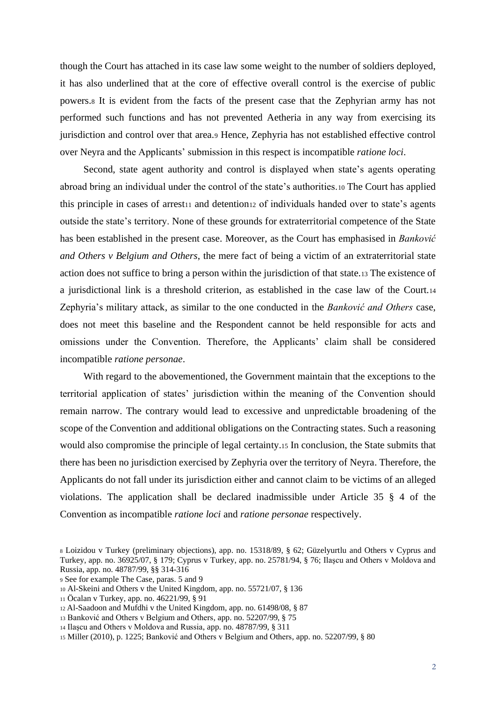though the Court has attached in its case law some weight to the number of soldiers deployed, it has also underlined that at the core of effective overall control is the exercise of public powers.<sup>8</sup> It is evident from the facts of the present case that the Zephyrian army has not performed such functions and has not prevented Aetheria in any way from exercising its jurisdiction and control over that area.<sup>9</sup> Hence, Zephyria has not established effective control over Neyra and the Applicants' submission in this respect is incompatible *ratione loci*.

Second, state agent authority and control is displayed when state's agents operating abroad bring an individual under the control of the state's authorities.<sup>10</sup> The Court has applied this principle in cases of arrest11 and detention12 of individuals handed over to state's agents outside the state's territory. None of these grounds for extraterritorial competence of the State has been established in the present case. Moreover, as the Court has emphasised in *Banković and Others v Belgium and Others*, the mere fact of being a victim of an extraterritorial state action does not suffice to bring a person within the jurisdiction of that state.<sup>13</sup> The existence of a jurisdictional link is a threshold criterion, as established in the case law of the Court.<sup>14</sup> Zephyria's military attack, as similar to the one conducted in the *Banković and Others* case, does not meet this baseline and the Respondent cannot be held responsible for acts and omissions under the Convention. Therefore, the Applicants' claim shall be considered incompatible *ratione personae*.

With regard to the abovementioned, the Government maintain that the exceptions to the territorial application of states' jurisdiction within the meaning of the Convention should remain narrow. The contrary would lead to excessive and unpredictable broadening of the scope of the Convention and additional obligations on the Contracting states. Such a reasoning would also compromise the principle of legal certainty.<sup>15</sup> In conclusion, the State submits that there has been no jurisdiction exercised by Zephyria over the territory of Neyra. Therefore, the Applicants do not fall under its jurisdiction either and cannot claim to be victims of an alleged violations. The application shall be declared inadmissible under Article 35 § 4 of the Convention as incompatible *ratione loci* and *ratione personae* respectively.

- <sup>9</sup> See for example The Case, paras. 5 and 9
- <sup>10</sup> Al-Skeini and Others v the United Kingdom, app. no. 55721/07, § 136
- <sup>11</sup> Öcalan v Turkey, app. no. [46221/99,](https://hudoc.echr.coe.int/eng#{%22appno%22:[%2246221/99%22]}) § 91
- <sup>12</sup> Al-Saadoon and Mufdhi v the United Kingdom, app. no. 61498/08, § 87
- <sup>13</sup> Banković and Others v Belgium and Others, app. no. 52207/99, § 75
- <sup>14</sup> Ilaşcu and Others v Moldova and Russia, app. no. [48787/99,](https://hudoc.echr.coe.int/eng#{%22appno%22:[%2248787/99%22]}) § 311

<sup>8</sup> Loizidou v Turkey (preliminary objections), app. no. 15318/89, § 62; Güzelyurtlu and Others v Cyprus and Turkey, app. no. 36925/07, § 179; Cyprus v Turkey, app. no. [25781/94,](https://hudoc.echr.coe.int/eng#{%22appno%22:[%2225781/94%22]}) § 76; Ilaşcu and Others v Moldova and Russia, app. no. [48787/99,](https://hudoc.echr.coe.int/eng#{%22appno%22:[%2248787/99%22]}) §§ 314-316

<sup>15</sup> Miller (2010), p. 1225; Banković and Others v Belgium and Others, app. no. 52207/99, § 80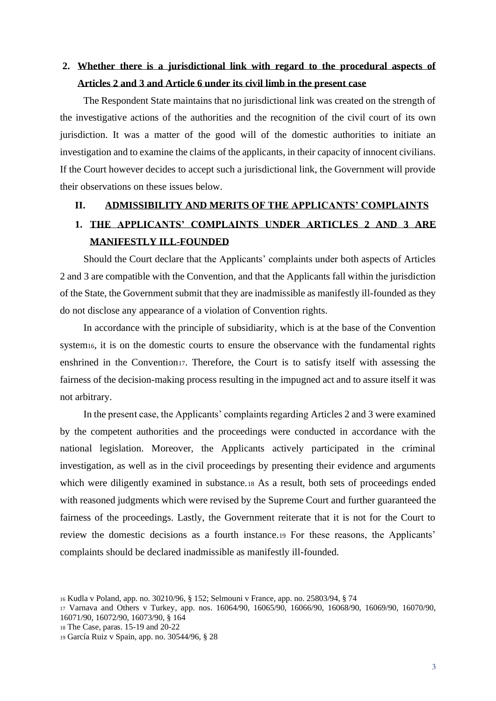# <span id="page-11-0"></span>**2. Whether there is a jurisdictional link with regard to the procedural aspects of Articles 2 and 3 and Article 6 under its civil limb in the present case**

The Respondent State maintains that no jurisdictional link was created on the strength of the investigative actions of the authorities and the recognition of the civil court of its own jurisdiction. It was a matter of the good will of the domestic authorities to initiate an investigation and to examine the claims of the applicants, in their capacity of innocent civilians. If the Court however decides to accept such a jurisdictional link, the Government will provide their observations on these issues below.

#### <span id="page-11-1"></span>**II. ADMISSIBILITY AND MERITS OF THE APPLICANTS' COMPLAINTS**

# <span id="page-11-2"></span>**1. THE APPLICANTS' COMPLAINTS UNDER ARTICLES 2 AND 3 ARE MANIFESTLY ILL-FOUNDED**

Should the Court declare that the Applicants' complaints under both aspects of Articles 2 and 3 are compatible with the Convention, and that the Applicants fall within the jurisdiction of the State, the Government submit that they are inadmissible as manifestly ill-founded as they do not disclose any appearance of a violation of Convention rights.

In accordance with the principle of subsidiarity, which is at the base of the Convention system<sub>16</sub>, it is on the domestic courts to ensure the observance with the fundamental rights enshrined in the Convention17. Therefore, the Court is to satisfy itself with assessing the fairness of the decision-making process resulting in the impugned act and to assure itself it was not arbitrary.

In the present case, the Applicants' complaints regarding Articles 2 and 3 were examined by the competent authorities and the proceedings were conducted in accordance with the national legislation. Moreover, the Applicants actively participated in the criminal investigation, as well as in the civil proceedings by presenting their evidence and arguments which were diligently examined in substance.<sup>18</sup> As a result, both sets of proceedings ended with reasoned judgments which were revised by the Supreme Court and further guaranteed the fairness of the proceedings. Lastly, the Government reiterate that it is not for the Court to review the domestic decisions as a fourth instance.<sup>19</sup> For these reasons, the Applicants' complaints should be declared inadmissible as manifestly ill-founded.

<sup>16</sup> Kudla v Poland, app. no. 30210/96, § 152; Selmouni v France, app. no. 25803/94, § 74

<sup>17</sup> Varnava and Others v Turkey, app. nos. 16064/90, 16065/90, 16066/90, 16068/90, 16069/90, 16070/90, 16071/90, 16072/90, 16073/90, § 164

<sup>18</sup> The Case, paras. 15-19 and 20-22

<sup>19</sup> García Ruiz v Spain, app. no. 30544/96, § 28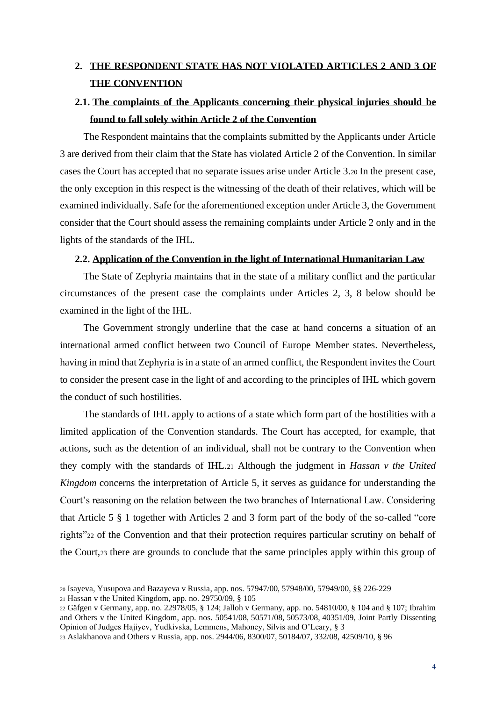# <span id="page-12-0"></span>**2. THE RESPONDENT STATE HAS NOT VIOLATED ARTICLES 2 AND 3 OF THE CONVENTION**

# <span id="page-12-1"></span>**2.1. The complaints of the Applicants concerning their physical injuries should be found to fall solely within Article 2 of the Convention**

The Respondent maintains that the complaints submitted by the Applicants under Article 3 are derived from their claim that the State has violated Article 2 of the Convention. In similar cases the Court has accepted that no separate issues arise under Article 3.<sup>20</sup> In the present case, the only exception in this respect is the witnessing of the death of their relatives, which will be examined individually. Safe for the aforementioned exception under Article 3, the Government consider that the Court should assess the remaining complaints under Article 2 only and in the lights of the standards of the IHL.

#### <span id="page-12-2"></span>**2.2. Application of the Convention in the light of International Humanitarian Law**

The State of Zephyria maintains that in the state of a military conflict and the particular circumstances of the present case the complaints under Articles 2, 3, 8 below should be examined in the light of the IHL.

The Government strongly underline that the case at hand concerns a situation of an international armed conflict between two Council of Europe Member states. Nevertheless, having in mind that Zephyria is in a state of an armed conflict, the Respondent invites the Court to consider the present case in the light of and according to the principles of IHL which govern the conduct of such hostilities.

The standards of IHL apply to actions of a state which form part of the hostilities with a limited application of the Convention standards. The Court has accepted, for example, that actions, such as the detention of an individual, shall not be contrary to the Convention when they comply with the standards of IHL.<sup>21</sup> Although the judgment in *Hassan v the United Kingdom* concerns the interpretation of Article 5, it serves as guidance for understanding the Court's reasoning on the relation between the two branches of International Law. Considering that Article 5 § 1 together with Articles 2 and 3 form part of the body of the so-called "core rights"<sup>22</sup> of the Convention and that their protection requires particular scrutiny on behalf of the Court,<sup>23</sup> there are grounds to conclude that the same principles apply within this group of

<sup>20</sup> Isayeva, Yusupova and Bazayeva v Russia, app. nos. 57947/00, 57948/00, 57949/00, §§ 226-229

<sup>21</sup> Hassan v the United Kingdom, app. no.  $29750/09$ , § 105

<sup>22</sup> Gäfgen v Germany, app. no. 22978/05, § 124; Jalloh v Germany*,* app. no. 54810/00, § 104 and § 107; Ibrahim and Others v the United Kingdom, app. nos. 50541/08, 50571/08, 50573/08, 40351/09, Joint Partly Dissenting Opinion of Judges Hajiyev, Yudkivska, Lemmens, Mahoney, Silvis and O'Leary, § 3

<sup>23</sup> Aslakhanova and Others v Russia*,* app. nos. 2944/06, 8300/07, 50184/07, 332/08, 42509/10, § 96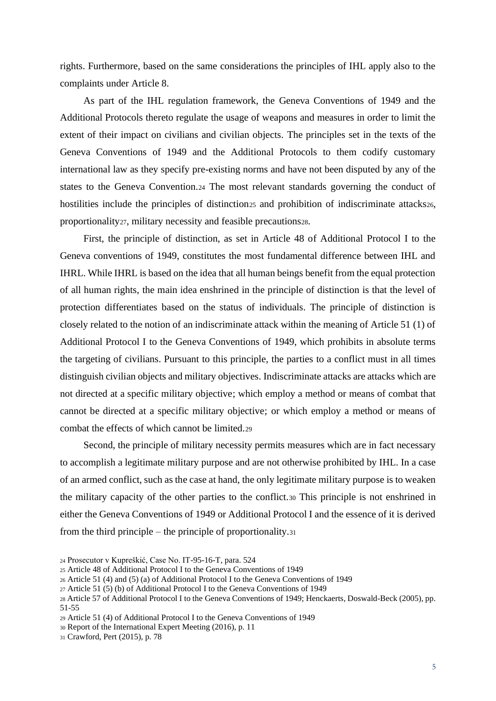rights. Furthermore, based on the same considerations the principles of IHL apply also to the complaints under Article 8.

As part of the IHL regulation framework, the Geneva Conventions of 1949 and the Additional Protocols thereto regulate the usage of weapons and measures in order to limit the extent of their impact on civilians and civilian objects. The principles set in the texts of the Geneva Conventions of 1949 and the Additional Protocols to them codify customary international law as they specify pre-existing norms and have not been disputed by any of the states to the Geneva Convention.<sup>24</sup> The most relevant standards governing the conduct of hostilities include the principles of distinction<sub>25</sub> and prohibition of indiscriminate attacks<sub>26</sub>, proportionality27, military necessity and feasible precautions28.

First, the principle of distinction, as set in Article 48 of Additional Protocol I to the Geneva conventions of 1949, constitutes the most fundamental difference between IHL and IHRL. While IHRL is based on the idea that all human beings benefit from the equal protection of all human rights, the main idea enshrined in the principle of distinction is that the level of protection differentiates based on the status of individuals. The principle of distinction is closely related to the notion of an indiscriminate attack within the meaning of Article 51 (1) of Additional Protocol I to the Geneva Conventions of 1949, which prohibits in absolute terms the targeting of civilians. Pursuant to this principle, the parties to a conflict must in all times distinguish civilian objects and military objectives. Indiscriminate attacks are attacks which are not directed at a specific military objective; which employ a method or means of combat that cannot be directed at a specific military objective; or which employ a method or means of combat the effects of which cannot be limited.<sup>29</sup>

Second, the principle of military necessity permits measures which are in fact necessary to accomplish a legitimate military purpose and are not otherwise prohibited by IHL. In a case of an armed conflict, such as the case at hand, the only legitimate military purpose is to weaken the military capacity of the other parties to the conflict.<sup>30</sup> This principle is not enshrined in either the Geneva Conventions of 1949 or Additional Protocol I and the essence of it is derived from the third principle – the principle of proportionality.<sup>31</sup>

<sup>24</sup> Prosecutor v Kupreškić, Case No. IT-95-16-T, para. 524

<sup>25</sup> Article 48 of Additional Protocol I to the Geneva Conventions of 1949

<sup>26</sup> Article 51 (4) and (5) (a) of Additional Protocol I to the Geneva Conventions of 1949

<sup>27</sup> Article 51 (5) (b) of Additional Protocol I to the Geneva Conventions of 1949

<sup>28</sup> Article 57 of Additional Protocol I to the Geneva Conventions of 1949; Henckaerts, Doswald-Beck (2005), pp. 51-55

<sup>29</sup> Article 51 (4) of Additional Protocol I to the Geneva Conventions of 1949

<sup>30</sup> Report of the International Expert Meeting (2016), p. 11

<sup>31</sup> Crawford, Pert (2015), p. 78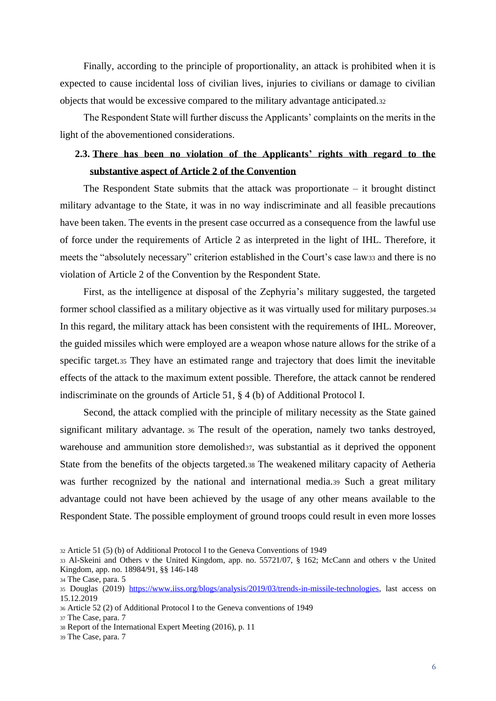Finally, according to the principle of proportionality, an attack is prohibited when it is expected to cause incidental loss of civilian lives, injuries to civilians or damage to civilian objects that would be excessive compared to the military advantage anticipated.<sup>32</sup>

The Respondent State will further discuss the Applicants' complaints on the merits in the light of the abovementioned considerations.

# <span id="page-14-0"></span>**2.3. There has been no violation of the Applicants' rights with regard to the substantive aspect of Article 2 of the Convention**

The Respondent State submits that the attack was proportionate – it brought distinct military advantage to the State, it was in no way indiscriminate and all feasible precautions have been taken. The events in the present case occurred as a consequence from the lawful use of force under the requirements of Article 2 as interpreted in the light of IHL. Therefore, it meets the "absolutely necessary" criterion established in the Court's case law<sup>33</sup> and there is no violation of Article 2 of the Convention by the Respondent State.

First, as the intelligence at disposal of the Zephyria's military suggested, the targeted former school classified as a military objective as it was virtually used for military purposes.<sup>34</sup> In this regard, the military attack has been consistent with the requirements of IHL. Moreover, the guided missiles which were employed are a weapon whose nature allows for the strike of a specific target.<sup>35</sup> They have an estimated range and trajectory that does limit the inevitable effects of the attack to the maximum extent possible. Therefore, the attack cannot be rendered indiscriminate on the grounds of Article 51, § 4 (b) of Additional Protocol I.

Second, the attack complied with the principle of military necessity as the State gained significant military advantage. <sup>36</sup> The result of the operation, namely two tanks destroyed, warehouse and ammunition store demolished<sub>37</sub>, was substantial as it deprived the opponent State from the benefits of the objects targeted.<sup>38</sup> The weakened military capacity of Aetheria was further recognized by the national and international media.39 Such a great military advantage could not have been achieved by the usage of any other means available to the Respondent State. The possible employment of ground troops could result in even more losses

<sup>32</sup> Article 51 (5) (b) of Additional Protocol I to the Geneva Conventions of 1949

<sup>33</sup> Al-Skeini and Others v the United Kingdom, app. no. 55721/07, § 162; McCann and others v the United Kingdom, app. no. 18984/91, §§ 146-148

<sup>34</sup> The Case, para. 5

<sup>35</sup> Douglas (2019) [https://www.iiss.org/blogs/analysis/2019/03/trends-in-missile-technologies,](https://www.iiss.org/blogs/analysis/2019/03/trends-in-missile-technologies) last access on 15.12.2019

<sup>36</sup> Article 52 (2) of Additional Protocol I to the Geneva conventions of 1949

<sup>37</sup> The Case, para. 7

<sup>38</sup> Report of the International Expert Meeting (2016), p. 11

<sup>39</sup> The Case, para. 7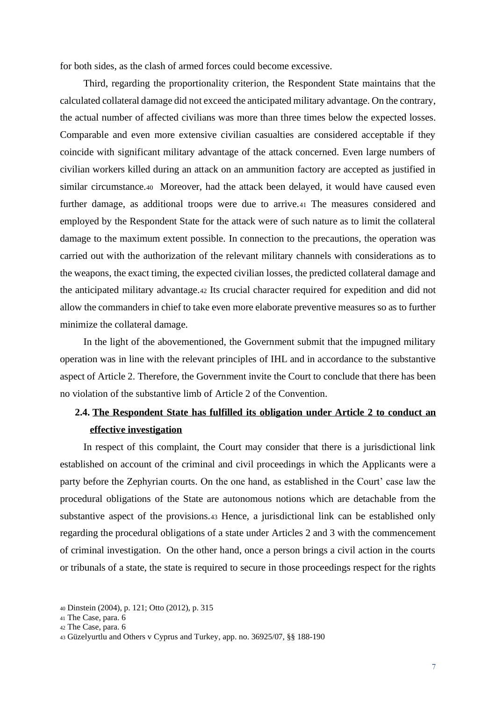for both sides, as the clash of armed forces could become excessive.

Third, regarding the proportionality criterion, the Respondent State maintains that the calculated collateral damage did not exceed the anticipated military advantage. On the contrary, the actual number of affected civilians was more than three times below the expected losses. Comparable and even more extensive civilian casualties are considered acceptable if they coincide with significant military advantage of the attack concerned. Even large numbers of civilian workers killed during an attack on an ammunition factory are accepted as justified in similar circumstance.<sup>40</sup> Moreover, had the attack been delayed, it would have caused even further damage, as additional troops were due to arrive.<sup>41</sup> The measures considered and employed by the Respondent State for the attack were of such nature as to limit the collateral damage to the maximum extent possible. In connection to the precautions, the operation was carried out with the authorization of the relevant military channels with considerations as to the weapons, the exact timing, the expected civilian losses, the predicted collateral damage and the anticipated military advantage.<sup>42</sup> Its crucial character required for expedition and did not allow the commanders in chief to take even more elaborate preventive measures so as to further minimize the collateral damage.

In the light of the abovementioned, the Government submit that the impugned military operation was in line with the relevant principles of IHL and in accordance to the substantive aspect of Article 2. Therefore, the Government invite the Court to conclude that there has been no violation of the substantive limb of Article 2 of the Convention.

### <span id="page-15-0"></span>**2.4. The Respondent State has fulfilled its obligation under Article 2 to conduct an effective investigation**

In respect of this complaint, the Court may consider that there is a jurisdictional link established on account of the criminal and civil proceedings in which the Applicants were a party before the Zephyrian courts. On the one hand, as established in the Court' case law the procedural obligations of the State are autonomous notions which are detachable from the substantive aspect of the provisions.<sup>43</sup> Hence, a jurisdictional link can be established only regarding the procedural obligations of a state under Articles 2 and 3 with the commencement of criminal investigation. On the other hand, once a person brings a civil action in the courts or tribunals of a state, the state is required to secure in those proceedings respect for the rights

<sup>40</sup> Dinstein (2004), p. 121; Otto (2012), p. 315

<sup>41</sup> The Case, para. 6

<sup>42</sup> The Case, para. 6

<sup>43</sup> Güzelyurtlu and Others v Cyprus and Turkey, app. no. 36925/07, §§ 188-190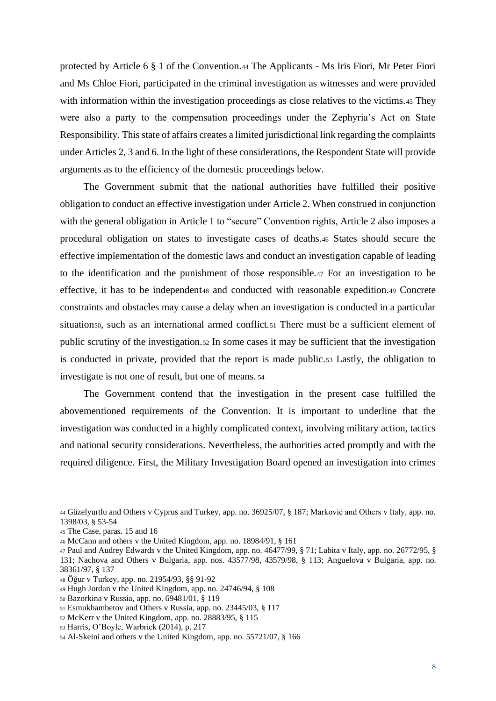protected by Article 6 § 1 of the Convention.<sup>44</sup> The Applicants - Ms Iris Fiori, Mr Peter Fiori and Ms Chloe Fiori, participated in the criminal investigation as witnesses and were provided with information within the investigation proceedings as close relatives to the victims.45 They were also a party to the compensation proceedings under the Zephyria's Act on State Responsibility. This state of affairs creates a limited jurisdictional link regarding the complaints under Articles 2, 3 and 6. In the light of these considerations, the Respondent State will provide arguments as to the efficiency of the domestic proceedings below.

The Government submit that the national authorities have fulfilled their positive obligation to conduct an effective investigation under Article 2. When construed in conjunction with the general obligation in Article 1 to "secure" Convention rights, Article 2 also imposes a procedural obligation on states to investigate cases of deaths.<sup>46</sup> States should secure the effective implementation of the domestic laws and conduct an investigation capable of leading to the identification and the punishment of those responsible.<sup>47</sup> For an investigation to be effective, it has to be independent<sub>48</sub> and conducted with reasonable expedition.<sub>49</sub> Concrete constraints and obstacles may cause a delay when an investigation is conducted in a particular situation<sub>50</sub>, such as an international armed conflict.<sub>51</sub> There must be a sufficient element of public scrutiny of the investigation.<sup>52</sup> In some cases it may be sufficient that the investigation is conducted in private, provided that the report is made public.<sup>53</sup> Lastly, the obligation to investigate is not one of result, but one of means. <sup>54</sup>

The Government contend that the investigation in the present case fulfilled the abovementioned requirements of the Convention. It is important to underline that the investigation was conducted in a highly complicated context, involving military action, tactics and national security considerations. Nevertheless, the authorities acted promptly and with the required diligence. First, the Military Investigation Board opened an investigation into crimes

<sup>44</sup> Güzelyurtlu and Others v Cyprus and Turkey, app. no. 36925/07, § 187; Marković and Others v Italy, app. no. 1398/03, § 53-54

<sup>45</sup> The Case, paras. 15 and 16

<sup>46</sup> McCann and others v the United Kingdom, app. no. 18984/91, § 161

<sup>47</sup> Paul and Audrey Edwards v the United Kingdom, app. no. 46477/99, § 71; Labita v Italy, app. no. 26772/95, § 131; Nachova and Others v Bulgaria, app. nos. 43577/98, 43579/98, § 113; Anguelova v Bulgaria, app. no. 38361/97, § 137

<sup>48</sup> Öğur v Turkey, app. no. 21954/93, §§ 91-92

<sup>49</sup> Hugh Jordan v the United Kingdom, app. no. 24746/94, § 108

<sup>50</sup> Bazorkina v Russia, app. no. 69481/01, § 119

<sup>51</sup> Esmukhambetov and Others v Russia, app. no. 23445/03, § 117

<sup>52</sup> McKerr v the United Kingdom, app. no. 28883/95, § 115

<sup>53</sup> Harris, O'Boyle, Warbrick (2014), p. 217

<sup>54</sup> Al-Skeini and others v the United Kingdom, app. no. 55721/07, § 166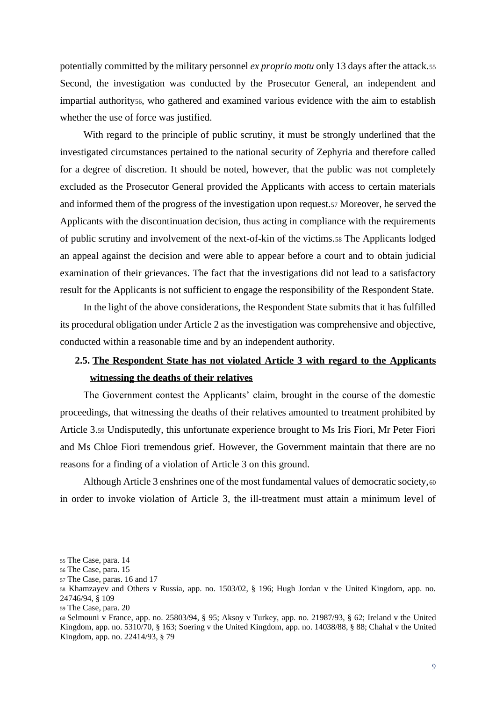potentially committed by the military personnel *ex proprio motu* only 13 days after the attack.<sup>55</sup> Second, the investigation was conducted by the Prosecutor General, an independent and impartial authority56, who gathered and examined various evidence with the aim to establish whether the use of force was justified.

With regard to the principle of public scrutiny, it must be strongly underlined that the investigated circumstances pertained to the national security of Zephyria and therefore called for a degree of discretion. It should be noted, however, that the public was not completely excluded as the Prosecutor General provided the Applicants with access to certain materials and informed them of the progress of the investigation upon request.<sup>57</sup> Moreover, he served the Applicants with the discontinuation decision, thus acting in compliance with the requirements of public scrutiny and involvement of the next-of-kin of the victims.<sup>58</sup> The Applicants lodged an appeal against the decision and were able to appear before a court and to obtain judicial examination of their grievances. The fact that the investigations did not lead to a satisfactory result for the Applicants is not sufficient to engage the responsibility of the Respondent State.

In the light of the above considerations, the Respondent State submits that it has fulfilled its procedural obligation under Article 2 as the investigation was comprehensive and objective, conducted within a reasonable time and by an independent authority.

# <span id="page-17-0"></span>**2.5. The Respondent State has not violated Article 3 with regard to the Applicants witnessing the deaths of their relatives**

The Government contest the Applicants' claim, brought in the course of the domestic proceedings, that witnessing the deaths of their relatives amounted to treatment prohibited by Article 3.<sup>59</sup> Undisputedly, this unfortunate experience brought to Ms Iris Fiori, Mr Peter Fiori and Ms Chloe Fiori tremendous grief. However, the Government maintain that there are no reasons for a finding of a violation of Article 3 on this ground.

Although Article 3 enshrines one of the most fundamental values of democratic society,<sup>60</sup> in order to invoke violation of Article 3, the ill-treatment must attain a minimum level of

<sup>55</sup> The Case, para. 14

<sup>56</sup> The Case, para. 15

<sup>57</sup> The Case, paras. 16 and 17

<sup>58</sup> Khamzayev and Others v Russia, app. no. 1503/02, § 196; Hugh Jordan v the United Kingdom, app. no. 24746/94, § 109

<sup>59</sup> The Case, para. 20

<sup>60</sup> Selmouni v France, app. no. 25803/94, § 95; Aksoy v Turkey, app. no. 21987/93, § 62; Ireland v the United Kingdom, app. no. 5310/70, § 163; Soering v the United Kingdom, app. no. 14038/88, § 88; Chahal v the United Kingdom, app. no. 22414/93, § 79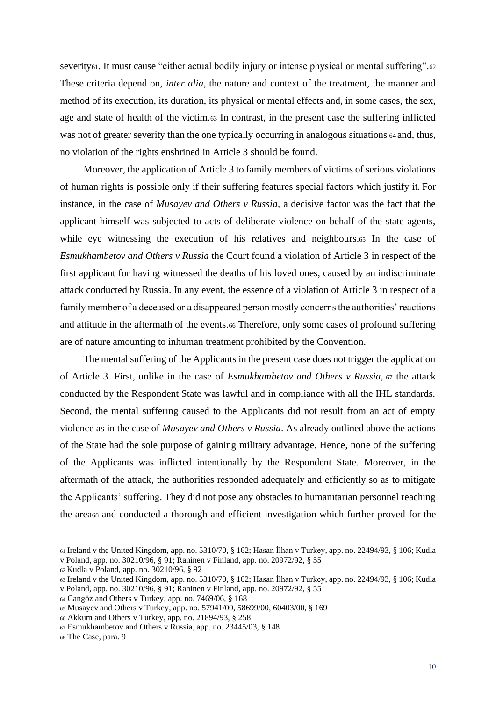severity<sub>61</sub>. It must cause "either actual bodily injury or intense physical or mental suffering".<sub>62</sub> These criteria depend on, *inter alia*, the nature and context of the treatment, the manner and method of its execution, its duration, its physical or mental effects and, in some cases, the sex, age and state of health of the victim.<sup>63</sup> In contrast, in the present case the suffering inflicted was not of greater severity than the one typically occurring in analogous situations  $64$  and, thus, no violation of the rights enshrined in Article 3 should be found.

Moreover, the application of Article 3 to family members of victims of serious violations of human rights is possible only if their suffering features special factors which justify it. For instance, in the case of *Musayev and Others v Russia,* a decisive factor was the fact that the applicant himself was subjected to acts of deliberate violence on behalf of the state agents, while eye witnessing the execution of his relatives and neighbours.<sup>65</sup> In the case of *Esmukhambetov and Others v Russia* the Court found a violation of Article 3 in respect of the first applicant for having witnessed the deaths of his loved ones, caused by an indiscriminate attack conducted by Russia. In any event, the essence of a violation of Article 3 in respect of a family member of a deceased or a disappeared person mostly concerns the authorities' reactions and attitude in the aftermath of the events.<sup>66</sup> Therefore, only some cases of profound suffering are of nature amounting to inhuman treatment prohibited by the Convention.

The mental suffering of the Applicants in the present case does not trigger the application of Article 3. First, unlike in the case of *Esmukhambetov and Others v Russia,* <sup>67</sup> the attack conducted by the Respondent State was lawful and in compliance with all the IHL standards. Second, the mental suffering caused to the Applicants did not result from an act of empty violence as in the case of *Musayev and Others v Russia*. As already outlined above the actions of the State had the sole purpose of gaining military advantage. Hence, none of the suffering of the Applicants was inflicted intentionally by the Respondent State. Moreover, in the aftermath of the attack, the authorities responded adequately and efficiently so as to mitigate the Applicants' suffering. They did not pose any obstacles to humanitarian personnel reaching the area<sup>68</sup> and conducted a thorough and efficient investigation which further proved for the

<sup>64</sup> Cangöz and Others v Turkey, app. no. 7469/06, § 168

<sup>61</sup> Ireland v the United Kingdom, app. no. 5310/70, § 162; Hasan İlhan v Turkey, app. no. 22494/93, § 106; Kudla v Poland, app. no. 30210/96, § 91; Raninen v Finland, app. no. 20972/92, § 55

<sup>62</sup> Kudla v Poland, app. no. 30210/96, § 92

<sup>63</sup> Ireland v the United Kingdom, app. no. 5310/70, § 162; Hasan İlhan v Turkey, app. no. 22494/93, § 106; Kudla

v Poland, app. no. 30210/96, § 91; Raninen v Finland, app. no. 20972/92, § 55

<sup>65</sup> Musayev and Others v Turkey, app. no. 57941/00, 58699/00, 60403/00, § 169

<sup>66</sup> Akkum and Others v Turkey, app. no. 21894/93, § 258

<sup>67</sup> Esmukhambetov and Others v Russia, app. no. 23445/03, § 148

<sup>68</sup> The Case, para. 9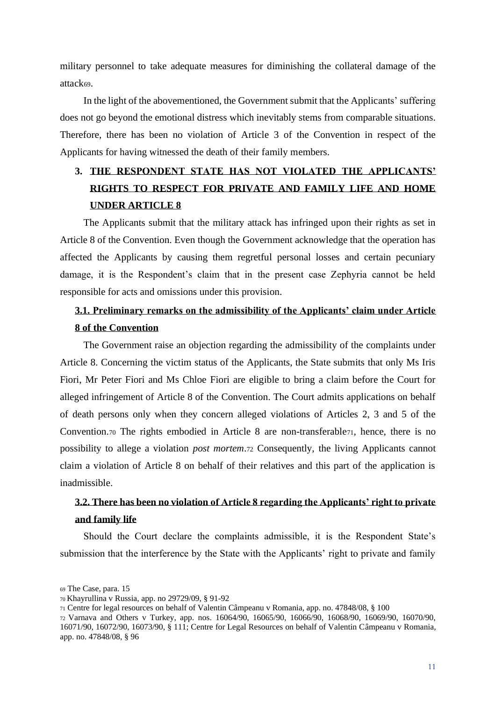military personnel to take adequate measures for diminishing the collateral damage of the attack69.

In the light of the abovementioned, the Government submit that the Applicants' suffering does not go beyond the emotional distress which inevitably stems from comparable situations. Therefore, there has been no violation of Article 3 of the Convention in respect of the Applicants for having witnessed the death of their family members.

# <span id="page-19-0"></span>**3. THE RESPONDENT STATE HAS NOT VIOLATED THE APPLICANTS' RIGHTS TO RESPECT FOR PRIVATE AND FAMILY LIFE AND HOME UNDER ARTICLE 8**

The Applicants submit that the military attack has infringed upon their rights as set in Article 8 of the Convention. Even though the Government acknowledge that the operation has affected the Applicants by causing them regretful personal losses and certain pecuniary damage, it is the Respondent's claim that in the present case Zephyria cannot be held responsible for acts and omissions under this provision.

## <span id="page-19-1"></span>**3.1. Preliminary remarks on the admissibility of the Applicants' claim under Article 8 of the Convention**

The Government raise an objection regarding the admissibility of the complaints under Article 8. Concerning the victim status of the Applicants, the State submits that only Ms Iris Fiori, Mr Peter Fiori and Ms Chloe Fiori are eligible to bring a claim before the Court for alleged infringement of Article 8 of the Convention. The Court admits applications on behalf of death persons only when they concern alleged violations of Articles 2, 3 and 5 of the Convention.<sup>70</sup> The rights embodied in Article 8 are non-transferable71, hence, there is no possibility to allege a violation *post mortem*.<sup>72</sup> Consequently, the living Applicants cannot claim a violation of Article 8 on behalf of their relatives and this part of the application is inadmissible.

# <span id="page-19-2"></span>**3.2. There has been no violation of Article 8 regarding the Applicants' right to private and family life**

Should the Court declare the complaints admissible, it is the Respondent State's submission that the interference by the State with the Applicants' right to private and family

<sup>69</sup> The Case, para. 15

<sup>70</sup> Khayrullina v Russia, app. no 29729/09, § 91-92

<sup>71</sup> Centre for legal resources on behalf of Valentin Câmpeanu v Romania, app. no. 47848/08, § 100

<sup>72</sup> Varnava and Others v Turkey, app. nos. 16064/90, 16065/90, 16066/90, 16068/90, 16069/90, 16070/90, 16071/90, 16072/90, 16073/90, § 111; Centre for Legal Resources on behalf of Valentin Câmpeanu v Romania, app. no. 47848/08, § 96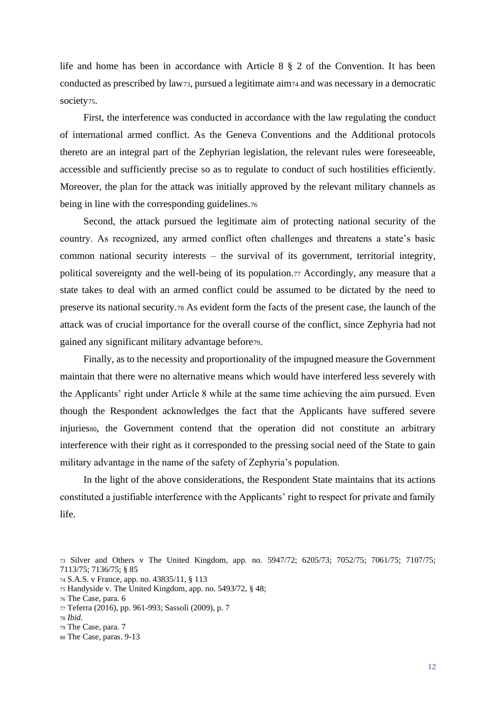life and home has been in accordance with Article 8 § 2 of the Convention. It has been conducted as prescribed by law73, pursued a legitimate aim<sup>74</sup> and was necessary in a democratic society<sub>75</sub>.

First, the interference was conducted in accordance with the law regulating the conduct of international armed conflict. As the Geneva Conventions and the Additional protocols thereto are an integral part of the Zephyrian legislation, the relevant rules were foreseeable, accessible and sufficiently precise so as to regulate to conduct of such hostilities efficiently. Moreover, the plan for the attack was initially approved by the relevant military channels as being in line with the corresponding guidelines.76

Second, the attack pursued the legitimate aim of protecting national security of the country. As recognized, any armed conflict often challenges and threatens a state's basic common national security interests – the survival of its government, territorial integrity, political sovereignty and the well-being of its population.<sup>77</sup> Accordingly, any measure that a state takes to deal with an armed conflict could be assumed to be dictated by the need to preserve its national security.<sup>78</sup> As evident form the facts of the present case, the launch of the attack was of crucial importance for the overall course of the conflict, since Zephyria had not gained any significant military advantage before79.

Finally, as to the necessity and proportionality of the impugned measure the Government maintain that there were no alternative means which would have interfered less severely with the Applicants' right under Article 8 while at the same time achieving the aim pursued. Even though the Respondent acknowledges the fact that the Applicants have suffered severe injuriesso, the Government contend that the operation did not constitute an arbitrary interference with their right as it corresponded to the pressing social need of the State to gain military advantage in the name of the safety of Zephyria's population.

In the light of the above considerations, the Respondent State maintains that its actions constituted a justifiable interference with the Applicants' right to respect for private and family life.

<sup>74</sup> S.A.S. v France, app. no. 43835/11, § 113

- <sup>78</sup> *Ibid.*
- <sup>79</sup> The Case, para. 7
- <sup>80</sup> The Case, paras. 9-13

<sup>73</sup> Silver and Others v The United Kingdom, app. no. 5947/72; 6205/73; 7052/75; 7061/75; 7107/75; 7113/75; [7136/75;](https://hudoc.echr.coe.int/eng#{%22appno%22:[%227136/75%22]}) § 85

<sup>75</sup> Handyside v. The United Kingdom, app. no. 5493/72, § 48;

<sup>76</sup> The Case, para. 6

<sup>77</sup> Teferra (2016), pp. 961-993; Sassolì (2009), p. 7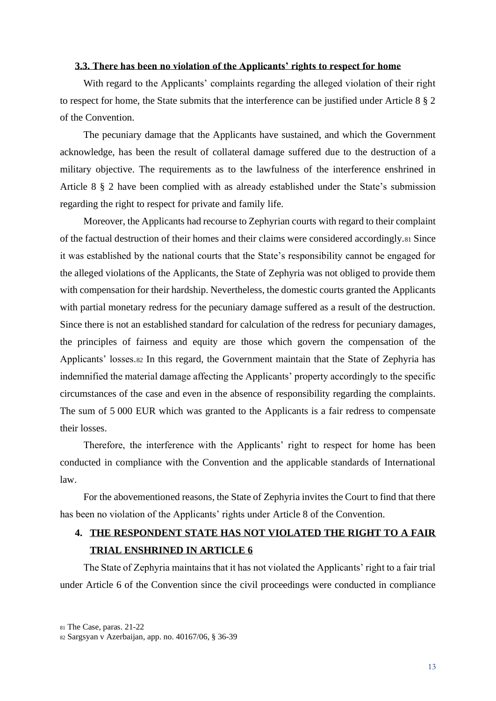#### <span id="page-21-0"></span>**3.3. There has been no violation of the Applicants' rights to respect for home**

With regard to the Applicants' complaints regarding the alleged violation of their right to respect for home, the State submits that the interference can be justified under Article 8 § 2 of the Convention.

The pecuniary damage that the Applicants have sustained, and which the Government acknowledge, has been the result of collateral damage suffered due to the destruction of a military objective. The requirements as to the lawfulness of the interference enshrined in Article 8 § 2 have been complied with as already established under the State's submission regarding the right to respect for private and family life.

Moreover, the Applicants had recourse to Zephyrian courts with regard to their complaint of the factual destruction of their homes and their claims were considered accordingly.<sup>81</sup> Since it was established by the national courts that the State's responsibility cannot be engaged for the alleged violations of the Applicants, the State of Zephyria was not obliged to provide them with compensation for their hardship. Nevertheless, the domestic courts granted the Applicants with partial monetary redress for the pecuniary damage suffered as a result of the destruction. Since there is not an established standard for calculation of the redress for pecuniary damages, the principles of fairness and equity are those which govern the compensation of the Applicants' losses.<sup>82</sup> In this regard, the Government maintain that the State of Zephyria has indemnified the material damage affecting the Applicants' property accordingly to the specific circumstances of the case and even in the absence of responsibility regarding the complaints. The sum of 5 000 EUR which was granted to the Applicants is a fair redress to compensate their losses.

Therefore, the interference with the Applicants' right to respect for home has been conducted in compliance with the Convention and the applicable standards of International law.

For the abovementioned reasons, the State of Zephyria invites the Court to find that there has been no violation of the Applicants' rights under Article 8 of the Convention.

# <span id="page-21-1"></span>**4. THE RESPONDENT STATE HAS NOT VIOLATED THE RIGHT TO A FAIR TRIAL ENSHRINED IN ARTICLE 6**

The State of Zephyria maintains that it has not violated the Applicants' right to a fair trial under Article 6 of the Convention since the civil proceedings were conducted in compliance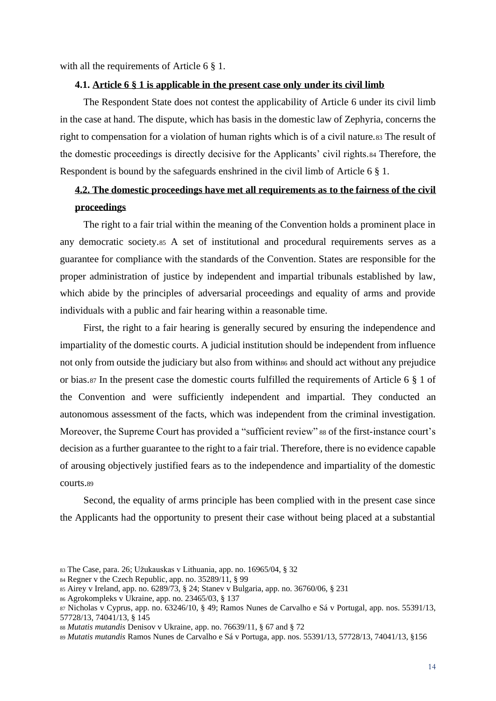<span id="page-22-0"></span>with all the requirements of Article 6  $\S$  1.

#### **4.1. Article 6 § 1 is applicable in the present case only under its civil limb**

The Respondent State does not contest the applicability of Article 6 under its civil limb in the case at hand. The dispute, which has basis in the domestic law of Zephyria, concerns the right to compensation for a violation of human rights which is of a civil nature.83 The result of the domestic proceedings is directly decisive for the Applicants' civil rights.<sup>84</sup> Therefore, the Respondent is bound by the safeguards enshrined in the civil limb of Article 6 § 1.

# <span id="page-22-1"></span>**4.2. The domestic proceedings have met all requirements as to the fairness of the civil proceedings**

The right to a fair trial within the meaning of the Convention holds a prominent place in any democratic society.<sup>85</sup> A set of institutional and procedural requirements serves as a guarantee for compliance with the standards of the Convention. States are responsible for the proper administration of justice by independent and impartial tribunals established by law, which abide by the principles of adversarial proceedings and equality of arms and provide individuals with a public and fair hearing within a reasonable time.

First, the right to a fair hearing is generally secured by ensuring the independence and impartiality of the domestic courts. A judicial institution should be independent from influence not only from outside the judiciary but also from within<sup>86</sup> and should act without any prejudice or bias.<sup>87</sup> In the present case the domestic courts fulfilled the requirements of Article 6 § 1 of the Convention and were sufficiently independent and impartial. They conducted an autonomous assessment of the facts, which was independent from the criminal investigation. Moreover, the Supreme Court has provided a "sufficient review" 88 of the first-instance court's decision as a further guarantee to the right to a fair trial. Therefore, there is no evidence capable of arousing objectively justified fears as to the independence and impartiality of the domestic courts.<sup>89</sup>

Second, the equality of arms principle has been complied with in the present case since the Applicants had the opportunity to present their case without being placed at a substantial

<sup>83</sup> The Case, para. 26; Užukauskas v Lithuania, app. no. 16965/04, § 32

<sup>84</sup> Regner v the Czech Republic, app. no. 35289/11, § 99

<sup>85</sup> Airey v Ireland, app. no. 6289/73, § 24; Stanev v Bulgaria, app. no. 36760/06, § 231

<sup>86</sup> Agrokompleks v Ukraine, app. no. 23465/03, § 137

<sup>87</sup> Nicholas v Cyprus, app. no. 63246/10, § 49; Ramos Nunes de Carvalho e Sá v Portugal, app. nos. 55391/13, 57728/13, 74041/13, § 145

<sup>88</sup> *Mutatis mutandis* Denisov v Ukraine, app. no. 76639/11, § 67 and § 72

<sup>89</sup> *Mutatis mutandis* Ramos Nunes de Carvalho e Sá v Portuga, app. nos. 55391/13, 57728/13, 74041/13, §156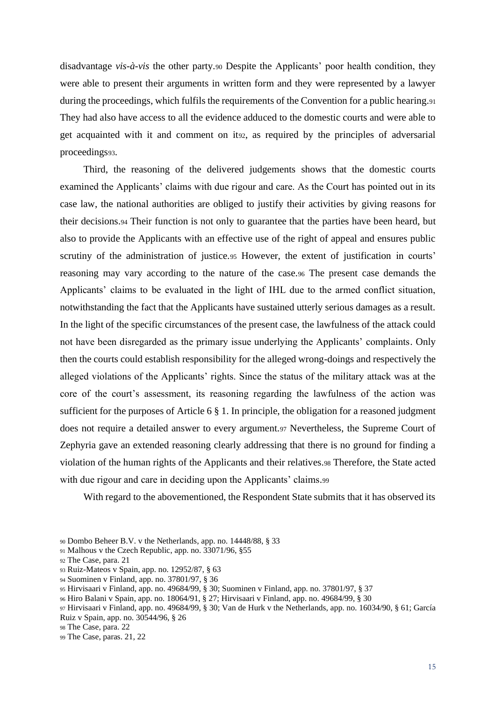disadvantage *vis-à-vis* the other party.<sup>90</sup> Despite the Applicants' poor health condition, they were able to present their arguments in written form and they were represented by a lawyer during the proceedings, which fulfils the requirements of the Convention for a public hearing.<sup>91</sup> They had also have access to all the evidence adduced to the domestic courts and were able to get acquainted with it and comment on it92, as required by the principles of adversarial proceedings93.

Third, the reasoning of the delivered judgements shows that the domestic courts examined the Applicants' claims with due rigour and care. As the Court has pointed out in its case law, the national authorities are obliged to justify their activities by giving reasons for their decisions.<sup>94</sup> Their function is not only to guarantee that the parties have been heard, but also to provide the Applicants with an effective use of the right of appeal and ensures public scrutiny of the administration of justice.<sup>95</sup> However, the extent of justification in courts' reasoning may vary according to the nature of the case.<sup>96</sup> The present case demands the Applicants' claims to be evaluated in the light of IHL due to the armed conflict situation, notwithstanding the fact that the Applicants have sustained utterly serious damages as a result. In the light of the specific circumstances of the present case, the lawfulness of the attack could not have been disregarded as the primary issue underlying the Applicants' complaints. Only then the courts could establish responsibility for the alleged wrong-doings and respectively the alleged violations of the Applicants' rights. Since the status of the military attack was at the core of the court's assessment, its reasoning regarding the lawfulness of the action was sufficient for the purposes of Article 6 § 1. In principle, the obligation for a reasoned judgment does not require a detailed answer to every argument.<sup>97</sup> Nevertheless, the Supreme Court of Zephyria gave an extended reasoning clearly addressing that there is no ground for finding a violation of the human rights of the Applicants and their relatives.<sup>98</sup> Therefore, the State acted with due rigour and care in deciding upon the Applicants' claims.99

With regard to the abovementioned, the Respondent State submits that it has observed its

<sup>90</sup> Dombo Beheer B.V. v the Netherlands, app. no. 14448/88, § 33

<sup>91</sup> Malhous v the Czech Republic, app. no. 33071/96, §55

<sup>92</sup> The Case, para. 21

<sup>93</sup> Ruiz-Mateos v Spain, app. no. 12952/87, § 63

<sup>94</sup> Suominen v Finland, app. no. 37801/97, § 36

<sup>95</sup> Hirvisaari v Finland, app. no. [49684/99,](https://hudoc.echr.coe.int/eng#{%22appno%22:[%2249684/99%22]}) § 30; Suominen v Finland, app. no. 37801/97, § 37

<sup>96</sup> Hiro Balani v Spain, app. no. 18064/91, § 27; Hirvisaari v Finland, app. no. [49684/99,](https://hudoc.echr.coe.int/eng#{%22appno%22:[%2249684/99%22]}) § 30

<sup>97</sup> Hirvisaari v Finland, app. no. [49684/99,](https://hudoc.echr.coe.int/eng#{%22appno%22:[%2249684/99%22]}) § 30; Van de Hurk v the Netherlands, app. no. 16034/90, § 61; García Ruiz v Spain, app. no. 30544/96, § 26

<sup>98</sup> The Case, para. 22

<sup>99</sup> The Case, paras. 21, 22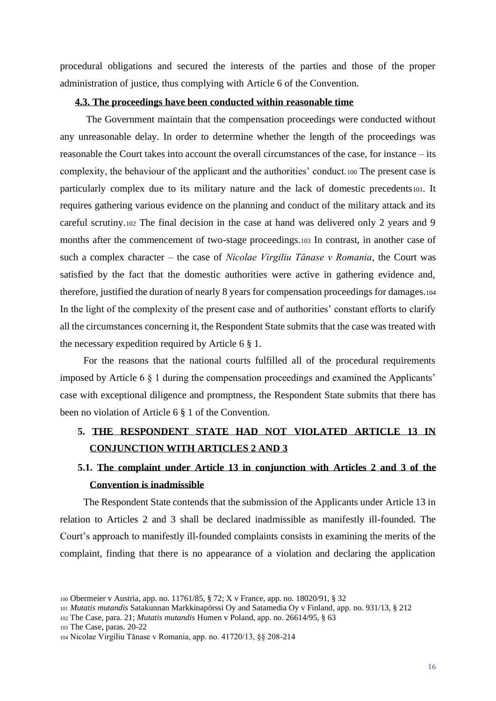procedural obligations and secured the interests of the parties and those of the proper administration of justice, thus complying with Article 6 of the Convention.

#### <span id="page-24-0"></span>**4.3. The proceedings have been conducted within reasonable time**

The Government maintain that the compensation proceedings were conducted without any unreasonable delay. In order to determine whether the length of the proceedings was reasonable the Court takes into account the overall circumstances of the case, for instance – its complexity, the behaviour of the applicant and the authorities' conduct.<sup>100</sup> The present case is particularly complex due to its military nature and the lack of domestic precedents101. It requires gathering various evidence on the planning and conduct of the military attack and its careful scrutiny.<sup>102</sup> The final decision in the case at hand was delivered only 2 years and 9 months after the commencement of two-stage proceedings.<sup>103</sup> In contrast, in another case of such a complex character – the case of *Nicolae Virgiliu Tănase v Romania*, the Court was satisfied by the fact that the domestic authorities were active in gathering evidence and, therefore, justified the duration of nearly 8 years for compensation proceedings for damages.<sup>104</sup> In the light of the complexity of the present case and of authorities' constant efforts to clarify all the circumstances concerning it, the Respondent State submits that the case was treated with the necessary expedition required by Article 6 § 1.

For the reasons that the national courts fulfilled all of the procedural requirements imposed by Article 6 § 1 during the compensation proceedings and examined the Applicants' case with exceptional diligence and promptness, the Respondent State submits that there has been no violation of Article 6 § 1 of the Convention.

### <span id="page-24-1"></span>**5. THE RESPONDENT STATE HAD NOT VIOLATED ARTICLE 13 IN CONJUNCTION WITH ARTICLES 2 AND 3**

# <span id="page-24-2"></span>**5.1. The complaint under Article 13 in conjunction with Articles 2 and 3 of the Convention is inadmissible**

The Respondent State contends that the submission of the Applicants under Article 13 in relation to Articles 2 and 3 shall be declared inadmissible as manifestly ill-founded. The Court's approach to manifestly ill-founded complaints consists in examining the merits of the complaint, finding that there is no appearance of a violation and declaring the application

<sup>100</sup> Obermeier v Austria, app. no. 11761/85, § 72; X v France, app. no. 18020/91, § 32

<sup>101</sup> *Mutatis mutandis* Satakunnan Markkinapörssi Oy and Satamedia Oy v Finland, app. no. 931/13, § 212

<sup>102</sup> The Case, para. 21; *Mutatis mutandis* Humen v Poland, app. no. 26614/95, § 63

<sup>103</sup> The Case, paras. 20-22

<sup>104</sup> Nicolae Virgiliu Tănase v Romania, app. no. 41720/13, §§ 208-214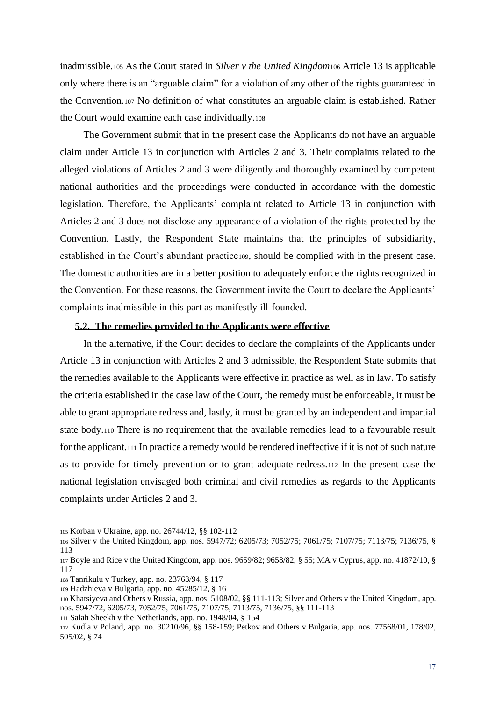inadmissible.<sup>105</sup> As the Court stated in *Silver v the United Kingdom*<sup>106</sup> Article 13 is applicable only where there is an "arguable claim" for a violation of any other of the rights guaranteed in the Convention.<sup>107</sup> No definition of what constitutes an arguable claim is established. Rather the Court would examine each case individually.<sup>108</sup>

The Government submit that in the present case the Applicants do not have an arguable claim under Article 13 in conjunction with Articles 2 and 3. Their complaints related to the alleged violations of Articles 2 and 3 were diligently and thoroughly examined by competent national authorities and the proceedings were conducted in accordance with the domestic legislation. Therefore, the Applicants' complaint related to Article 13 in conjunction with Articles 2 and 3 does not disclose any appearance of a violation of the rights protected by the Convention. Lastly, the Respondent State maintains that the principles of subsidiarity, established in the Court's abundant practice109, should be complied with in the present case. The domestic authorities are in a better position to adequately enforce the rights recognized in the Convention. For these reasons, the Government invite the Court to declare the Applicants' complaints inadmissible in this part as manifestly ill-founded.

#### <span id="page-25-0"></span>**5.2. The remedies provided to the Applicants were effective**

In the alternative, if the Court decides to declare the complaints of the Applicants under Article 13 in conjunction with Articles 2 and 3 admissible, the Respondent State submits that the remedies available to the Applicants were effective in practice as well as in law. To satisfy the criteria established in the case law of the Court, the remedy must be enforceable, it must be able to grant appropriate redress and, lastly, it must be granted by an independent and impartial state body.<sup>110</sup> There is no requirement that the available remedies lead to a favourable result for the applicant.<sup>111</sup> In practice a remedy would be rendered ineffective if it is not of such nature as to provide for timely prevention or to grant adequate redress.<sup>112</sup> In the present case the national legislation envisaged both criminal and civil remedies as regards to the Applicants complaints under Articles 2 and 3.

<sup>105</sup> Korban v Ukraine, app. no. 26744/12, §§ 102-112

<sup>106</sup> Silver v the United Kingdom, app. nos. 5947/72; 6205/73; 7052/75; 7061/75; 7107/75; 7113/75; [7136/75,](https://hudoc.echr.coe.int/eng#{%22appno%22:[%227136/75%22]}) § 113

<sup>107</sup> Boyle and Rice v the United Kingdom, app. nos. 9659/82; [9658/82,](https://hudoc.echr.coe.int/eng#{%22appno%22:[%229658/82%22]}) § 55; MA v Cyprus, app. no. 41872/10, § 117

<sup>108</sup> Tanrikulu v Turkey, app. no. 23763/94, § 117

<sup>109</sup> Hadzhieva v Bulgaria, app. no. 45285/12, § 16

<sup>110</sup> Khatsiyeva and Others v Russia, app. nos. 5108/02, §§ 111-113; Silver and Others v the United Kingdom, app. nos. 5947/72, 6205/73, 7052/75, 7061/75, 7107/75, 7113/75, 7136/75, §§ 111-113

<sup>111</sup> Salah Sheekh v the Netherlands, app. no. 1948/04, § 154

<sup>112</sup> Kudla v Poland, app. no. 30210/96, §§ 158-159; Petkov and Others v Bulgaria, app. nos. 77568/01, 178/02, 505/02, § 74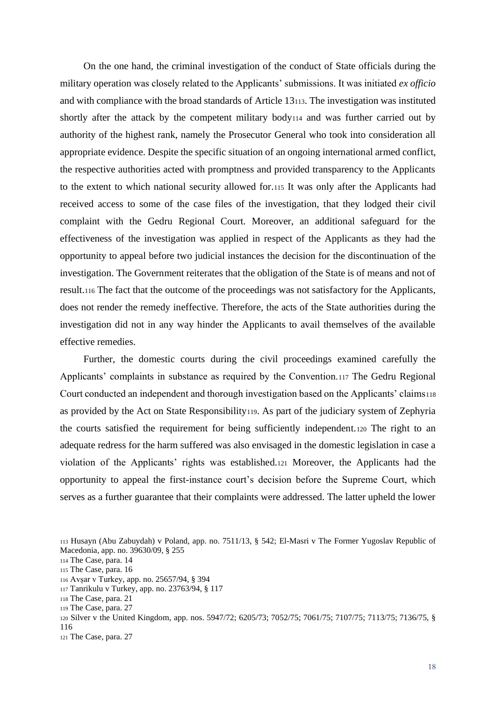On the one hand, the criminal investigation of the conduct of State officials during the military operation was closely related to the Applicants' submissions. It was initiated *ex officio* and with compliance with the broad standards of Article 13113. The investigation was instituted shortly after the attack by the competent military body<sup>114</sup> and was further carried out by authority of the highest rank, namely the Prosecutor General who took into consideration all appropriate evidence. Despite the specific situation of an ongoing international armed conflict, the respective authorities acted with promptness and provided transparency to the Applicants to the extent to which national security allowed for.<sup>115</sup> It was only after the Applicants had received access to some of the case files of the investigation, that they lodged their civil complaint with the Gedru Regional Court. Moreover, an additional safeguard for the effectiveness of the investigation was applied in respect of the Applicants as they had the opportunity to appeal before two judicial instances the decision for the discontinuation of the investigation. The Government reiterates that the obligation of the State is of means and not of result.<sup>116</sup> The fact that the outcome of the proceedings was not satisfactory for the Applicants, does not render the remedy ineffective. Therefore, the acts of the State authorities during the investigation did not in any way hinder the Applicants to avail themselves of the available effective remedies.

Further, the domestic courts during the civil proceedings examined carefully the Applicants' complaints in substance as required by the Convention.<sup>117</sup> The Gedru Regional Court conducted an independent and thorough investigation based on the Applicants' claims<sup>118</sup> as provided by the Act on State Responsibility119. As part of the judiciary system of Zephyria the courts satisfied the requirement for being sufficiently independent.<sup>120</sup> The right to an adequate redress for the harm suffered was also envisaged in the domestic legislation in case a violation of the Applicants' rights was established.<sup>121</sup> Moreover, the Applicants had the opportunity to appeal the first-instance court's decision before the Supreme Court, which serves as a further guarantee that their complaints were addressed. The latter upheld the lower

 Husayn (Abu Zabuydah) v Poland, app. no. 7511/13, § 542; El-Masri v The Former Yugoslav Republic of Macedonia, app. no. 39630/09, § 255 The Case, para. 14 The Case, para. 16 Avșar v Turkey, app. no. 25657/94, § 394 Tanrikulu v Turkey, app. no. 23763/94, § 117 The Case, para. 21

<sup>119</sup> The Case, para. 27

<sup>120</sup> Silver v the United Kingdom, app. nos. 5947/72; 6205/73; 7052/75; 7061/75; 7107/75; 7113/75; [7136/75,](https://hudoc.echr.coe.int/eng#{%22appno%22:[%227136/75%22]}) § 116 <sup>121</sup> The Case, para. 27